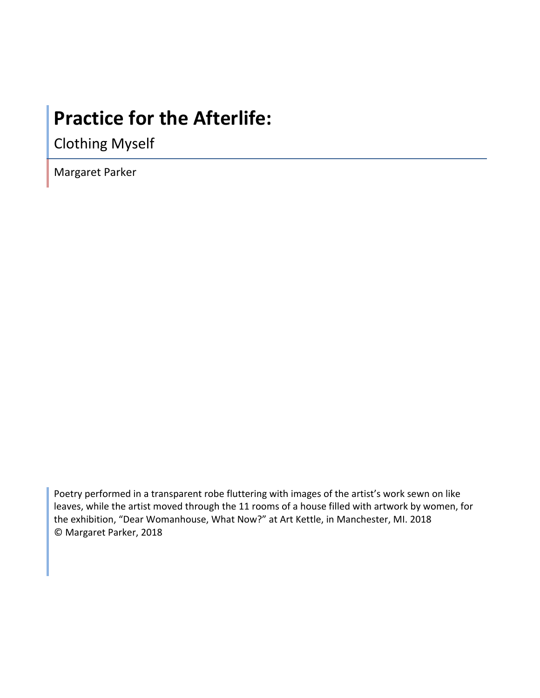# **Practice for the Afterlife:**

Clothing Myself

Margaret Parker

Poetry performed in a transparent robe fluttering with images of the artist's work sewn on like leaves, while the artist moved through the 11 rooms of a house filled with artwork by women, for the exhibition, "Dear Womanhouse, What Now?" at Art Kettle, in Manchester, MI. 2018 © Margaret Parker, 2018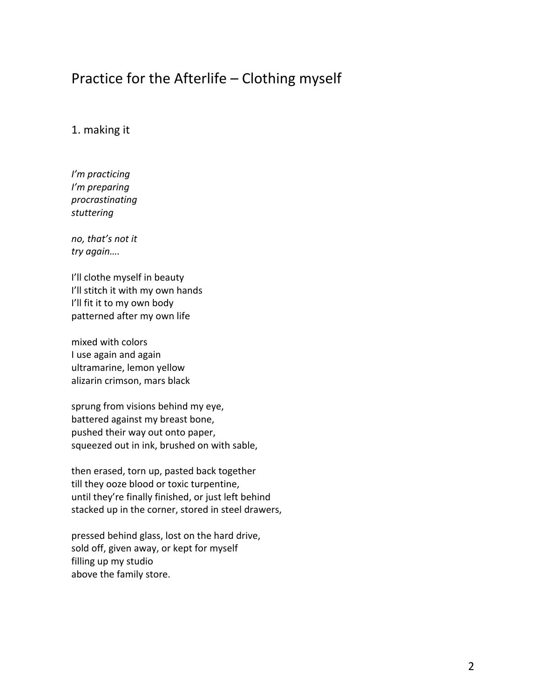## Practice for the Afterlife  $-$  Clothing myself

## 1. making it

*I'm practicing I'm preparing procrastinating stuttering*

*no, that's not it try again….*

I'll clothe myself in beauty I'll stitch it with my own hands I'll fit it to my own body patterned after my own life

mixed with colors I use again and again ultramarine, lemon yellow alizarin crimson, mars black

sprung from visions behind my eye, battered against my breast bone, pushed their way out onto paper, squeezed out in ink, brushed on with sable,

then erased, torn up, pasted back together till they ooze blood or toxic turpentine, until they're finally finished, or just left behind stacked up in the corner, stored in steel drawers,

pressed behind glass, lost on the hard drive, sold off, given away, or kept for myself filling up my studio above the family store.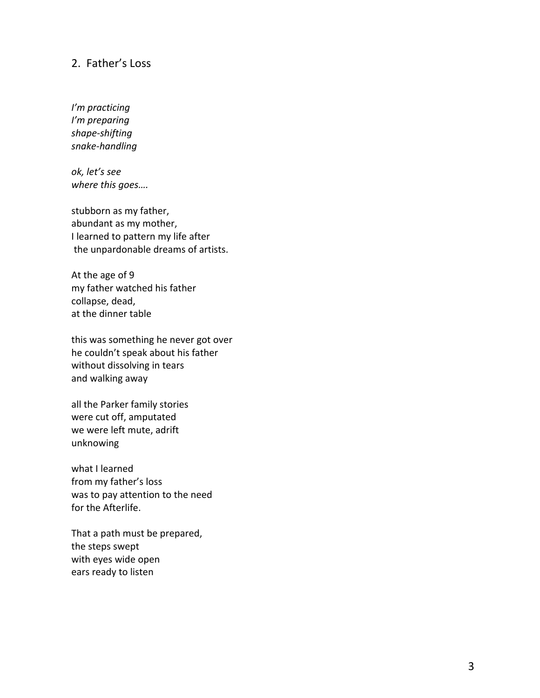## 2. Father's Loss

*I'm practicing I'm preparing shape -shifting snake -handling*

*ok, let's see*  where this goes....

stubborn as my father, abundant as my mother, I learned to pattern my life after the unpardonable dreams of artists.

At the age of 9 my father watched his father collapse, dead, at the dinner table

this was something he never got over he couldn't speak about his father without dissolving in tears and walking away

all the Parker family stories were cut off, amputated we were left mute, adrift unknowing

what I learned from my father's loss was to pay attention to the need for the Afterlife.

That a path must be prepared, the steps swept with eyes wide open ears ready to listen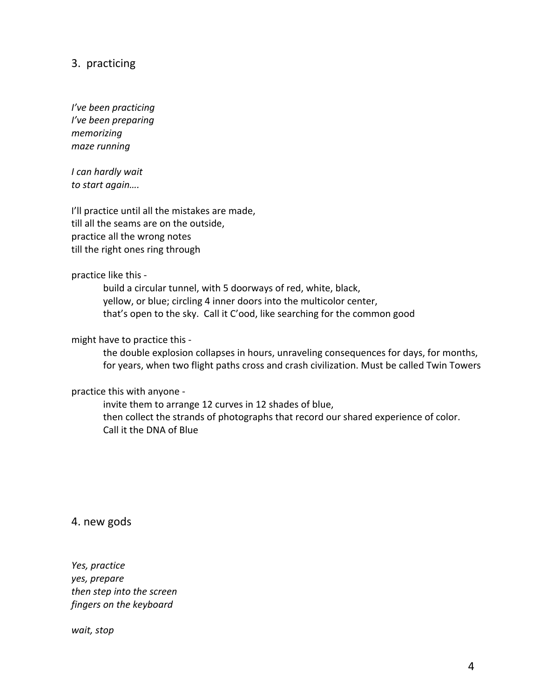## 3. practicing

*I've been practicing I've been preparing memorizing maze running*

*I can hardly wait to start again….*

I'll practice until all the mistakes are made, till all the seams are on the outside, practice all the wrong notes till the right ones ring through

#### practice like this -

build a circular tunnel, with 5 doorways of red, white, black, yellow, or blue; circling 4 inner doors into the multicolor center, that's open to the sky. Call it C'ood, like searching for the common good

#### might have to practice this -

the double explosion collapses in hours, unraveling consequences for days, for months, for years, when two flight paths cross and crash civilization. Must be called Twin Towers

#### practice this with anyone -

invite them to arrange 12 curves in 12 shades of blue, then collect the strands of photographs that record our shared experience of color. Call it the DNA of Blue

4. new gods

*Yes, practice yes, prepare then step into the screen fingers on the keyboard*

*wait, stop*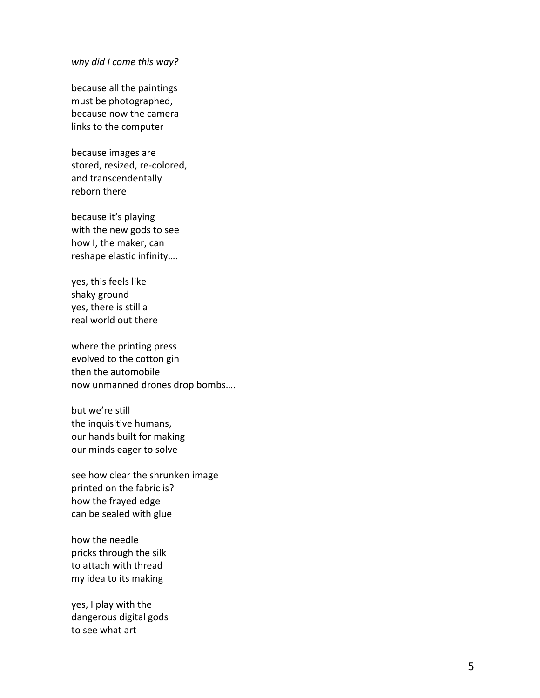#### *why did I come this way?*

because all the paintings must be photographed, because now the camera links to the computer

because images are stored, resized, re-colored, and transcendentally reborn there

because it's playing with the new gods to see how I, the maker, can reshape elastic infinity....

yes, this feels like shaky ground yes, there is still a real world out there

where the printing press evolved to the cotton gin then the automobile now unmanned drones drop bombs....

but we're still the inquisitive humans, our hands built for making our minds eager to solve

see how clear the shrunken image printed on the fabric is? how the frayed edge can be sealed with glue

how the needle pricks through the silk to attach with thread my idea to its making

yes, I play with the dangerous digital gods to see what art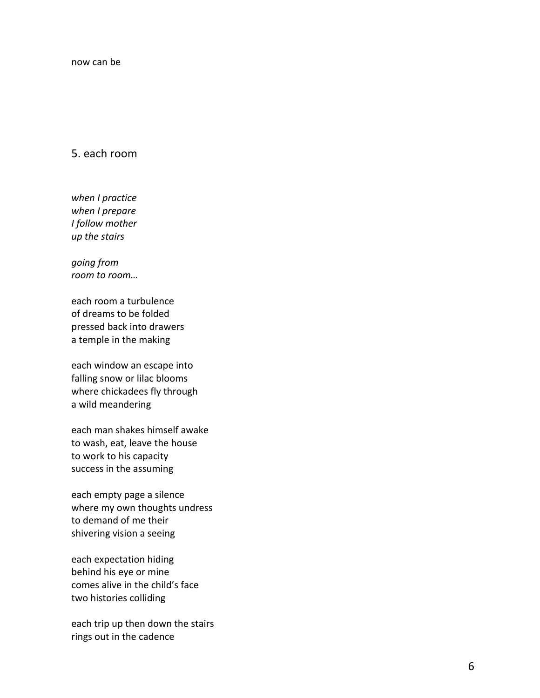## 5. each room

*when I practice when I prepare I follow mother up the stairs*

*going from room to room...* 

each room a turbulence of dreams to be folded pressed back into drawers a temple in the making

each window an escape into falling snow or lilac blooms where chickadees fly through a wild meandering

each man shakes himself awake to wash, eat, leave the house to work to his capacity success in the assuming

each empty page a silence where my own thoughts undress to demand of me their shivering vision a seeing

each expectation hiding behind his eye or mine comes alive in the child's face two histories colliding

each trip up then down the stairs rings out in the cadence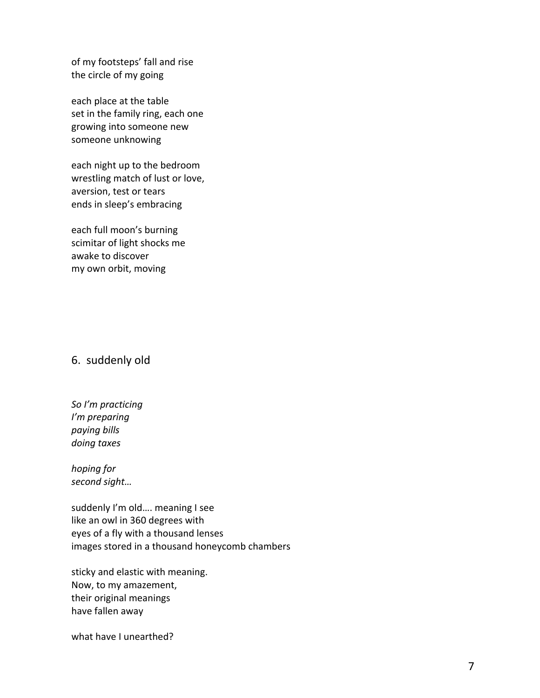of my footsteps' fall and rise the circle of my going

each place at the table set in the family ring, each one growing into someone new someone unknowing

each night up to the bedroom wrestling match of lust or love, aversion, test or tears ends in sleep's embracing

each full moon's burning scimitar of light shocks me awake to discover my own orbit, moving

## 6. suddenly old

*So I'm practicing I'm preparing paying bills doing taxes*

*hoping for second sight…*

suddenly I'm old.... meaning I see like an owl in 360 degrees with eyes of a fly with a thousand lenses images stored in a thousand honeycomb chambers

sticky and elastic with meaning. Now, to my amazement, their original meanings have fallen away

what have I unearthed?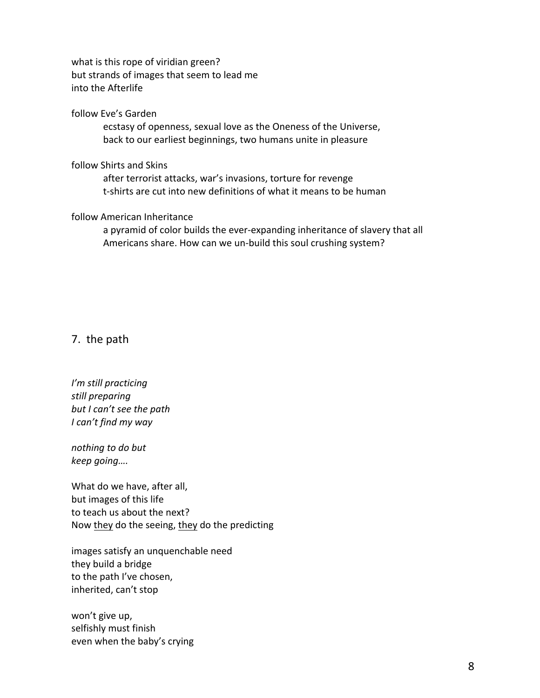what is this rope of viridian green? but strands of images that seem to lead me into the Afterlife

#### follow Eve's Garden

ecstasy of openness, sexual love as the Oneness of the Universe, back to our earliest beginnings, two humans unite in pleasure

#### follow Shirts and Skins

after terrorist attacks, war's invasions, torture for revenge t-shirts are cut into new definitions of what it means to be human

#### follow American Inheritance

a pyramid of color builds the ever-expanding inheritance of slavery that all Americans share. How can we un-build this soul crushing system?

### 7. the path

*I'm still practicing still preparing* but *I* can't see the path *I* can't find my way

*nothing to do but keep going….*

What do we have, after all, but images of this life to teach us about the next? Now they do the seeing, they do the predicting

images satisfy an unquenchable need they build a bridge to the path I've chosen, inherited, can't stop

won't give up, selfishly must finish even when the baby's crying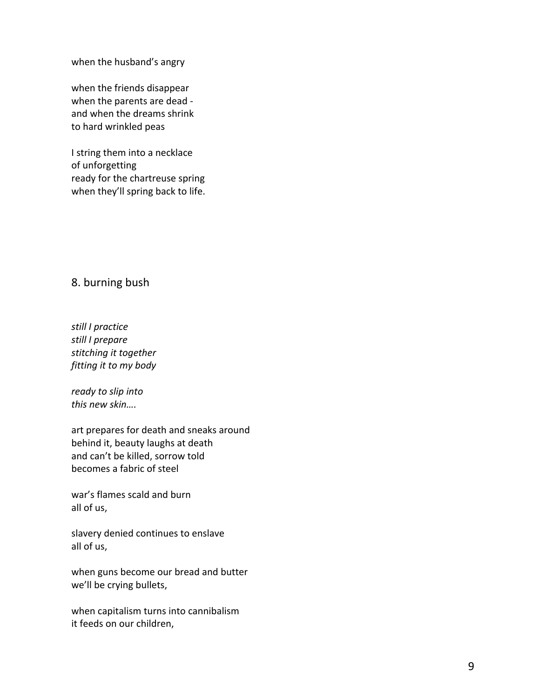when the husband's angry

when the friends disappear when the parents are dead and when the dreams shrink to hard wrinkled peas

I string them into a necklace of unforgetting ready for the chartreuse spring when they'll spring back to life.

## 8. burning bush

*still I practice still I prepare stitching it together fitting it to my body* 

*ready to slip into this new skin….*

art prepares for death and sneaks around behind it, beauty laughs at death and can't be killed, sorrow told becomes a fabric of steel

war's flames scald and burn all of us,

slavery denied continues to enslave all of us,

when guns become our bread and butter we'll be crying bullets,

when capitalism turns into cannibalism it feeds on our children,